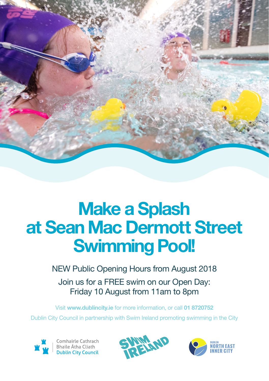

## **Make a Splash at Sean Mac Dermott Street Swimming Pool!**

NEW Public Opening Hours from August 2018 Join us for a FREE swim on our Open Day: Friday 10 August from 11am to 8pm

Visit www.dublincity.ie for more information, or call 01 8720752 Dublin City Council in partnership with Swim Ireland promoting swimming in the City